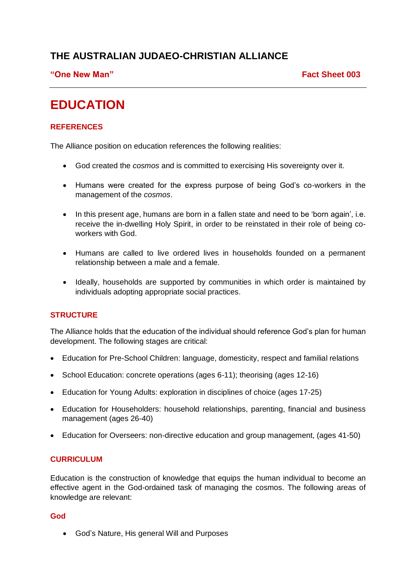# **THE AUSTRALIAN JUDAEO-CHRISTIAN ALLIANCE**

# **"One New Man" Fact Sheet 003**

# **EDUCATION**

# **REFERENCES**

The Alliance position on education references the following realities:

- God created the *cosmos* and is committed to exercising His sovereignty over it.
- Humans were created for the express purpose of being God's co-workers in the management of the *cosmos*.
- In this present age, humans are born in a fallen state and need to be 'born again', i.e. receive the in-dwelling Holy Spirit, in order to be reinstated in their role of being coworkers with God.
- Humans are called to live ordered lives in households founded on a permanent relationship between a male and a female.
- Ideally, households are supported by communities in which order is maintained by individuals adopting appropriate social practices.

#### **STRUCTURE**

The Alliance holds that the education of the individual should reference God's plan for human development. The following stages are critical:

- Education for Pre-School Children: language, domesticity, respect and familial relations
- School Education: concrete operations (ages 6-11); theorising (ages 12-16)
- Education for Young Adults: exploration in disciplines of choice (ages 17-25)
- Education for Householders: household relationships, parenting, financial and business management (ages 26-40)
- Education for Overseers: non-directive education and group management, (ages 41-50)

#### **CURRICULUM**

Education is the construction of knowledge that equips the human individual to become an effective agent in the God-ordained task of managing the cosmos. The following areas of knowledge are relevant:

#### **God**

• God's Nature, His general Will and Purposes